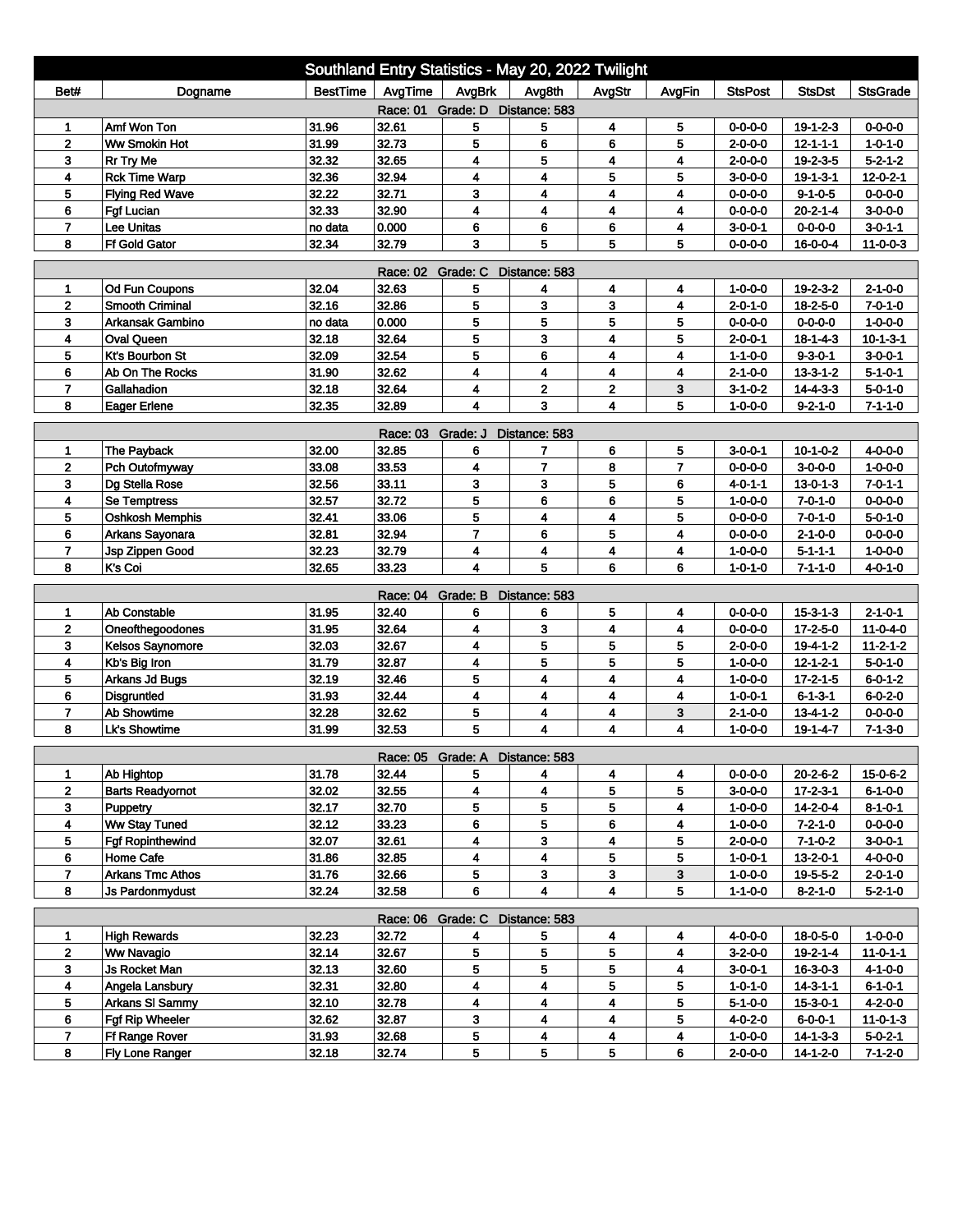| Southland Entry Statistics - May 20, 2022 Twilight |                                           |                  |                            |                |                              |                     |                |                                    |                              |                                     |  |
|----------------------------------------------------|-------------------------------------------|------------------|----------------------------|----------------|------------------------------|---------------------|----------------|------------------------------------|------------------------------|-------------------------------------|--|
| Bet#                                               | Dogname                                   | <b>BestTime</b>  | AvgTime                    | AvgBrk         | Avg8th                       | AvgStr              | AvgFin         | <b>StsPost</b>                     | <b>StsDst</b>                | <b>StsGrade</b>                     |  |
| Race: 01 Grade: D Distance: 583                    |                                           |                  |                            |                |                              |                     |                |                                    |                              |                                     |  |
| 1                                                  | Amf Won Ton                               | 31.96            | 32.61                      | 5              | 5                            | 4                   | 5              | $0 - 0 - 0 - 0$                    | $19 - 1 - 2 - 3$             | 0-0-0-0                             |  |
| $\mathbf{2}$                                       | Ww Smokin Hot                             | 31.99            | 32.73                      | 5              | 6                            | 6                   | 5              | $2 - 0 - 0 - 0$                    | $12 - 1 - 1 - 1$             | $1 - 0 - 1 - 0$                     |  |
| 3                                                  | <b>Rr Try Me</b>                          | 32.32            | 32.65                      | 4              | 5                            | 4                   | 4              | $2 - 0 - 0 - 0$                    | $19 - 2 - 3 - 5$             | $5 - 2 - 1 - 2$                     |  |
| 4                                                  | <b>Rck Time Warp</b>                      | 32.36            | 32.94                      | 4              | 4                            | 5                   | 5              | $3 - 0 - 0 - 0$                    | $19 - 1 - 3 - 1$             | $12 - 0 - 2 - 1$                    |  |
| 5                                                  | <b>Flying Red Wave</b>                    | 32.22            | 32.71                      | 3              | 4                            | 4                   | 4              | $0 - 0 - 0 - 0$                    | $9 - 1 - 0 - 5$              | $0 - 0 - 0 - 0$                     |  |
| 6                                                  | <b>Fgf Lucian</b>                         | 32.33            | 32.90                      | 4              | 4                            | 4                   | 4              | $0 - 0 - 0 - 0$                    | $20 - 2 - 1 - 4$             | $3-0-0-0$                           |  |
| $\overline{7}$<br>8                                | <b>Lee Unitas</b><br><b>Ff Gold Gator</b> | no data<br>32.34 | 0.000<br>32.79             | 6<br>3         | 6<br>5                       | 6<br>5              | 4<br>5         | $3 - 0 - 0 - 1$<br>$0 - 0 - 0 - 0$ | $0 - 0 - 0 - 0$<br>16-0-0-4  | $3 - 0 - 1 - 1$<br>$11 - 0 - 0 - 3$ |  |
|                                                    |                                           |                  |                            |                |                              |                     |                |                                    |                              |                                     |  |
| <b>Race: 02</b><br>Grade: C<br>Distance: 583       |                                           |                  |                            |                |                              |                     |                |                                    |                              |                                     |  |
| 1                                                  | Od Fun Coupons                            | 32.04            | 32.63                      | 5              | 4                            | 4                   | 4              | 1-0-0-0                            | $19 - 2 - 3 - 2$             | $2 - 1 - 0 - 0$                     |  |
| $\overline{2}$                                     | <b>Smooth Criminal</b>                    | 32.16            | 32.86                      | 5              | 3                            | 3                   | 4              | $2 - 0 - 1 - 0$                    | $18 - 2 - 5 - 0$             | $7 - 0 - 1 - 0$                     |  |
| 3                                                  | <b>Arkansak Gambino</b>                   | no data          | 0.000                      | 5              | 5                            | 5                   | 5              | $0 - 0 - 0 - 0$                    | $0 - 0 - 0 - 0$              | $1 - 0 - 0 - 0$                     |  |
| 4                                                  | <b>Oval Queen</b>                         | 32.18            | 32.64                      | 5              | 3                            | 4                   | 5              | $2 - 0 - 0 - 1$                    | $18 - 1 - 4 - 3$             | $10 - 1 - 3 - 1$                    |  |
| 5                                                  | Kt's Bourbon St                           | 32.09            | 32.54                      | 5              | 6                            | 4                   | 4              | $1 - 1 - 0 - 0$                    | $9 - 3 - 0 - 1$              | $3 - 0 - 0 - 1$                     |  |
| 6                                                  | Ab On The Rocks                           | 31.90            | 32.62                      | 4              | 4                            | 4                   | 4              | $2 - 1 - 0 - 0$                    | $13 - 3 - 1 - 2$             | $5 - 1 - 0 - 1$                     |  |
| $\overline{7}$                                     | Gallahadion                               | 32.18<br>32.35   | 32.64                      | 4<br>4         | $\overline{\mathbf{2}}$<br>3 | $\overline{2}$<br>4 | 3<br>5         | $3-1-0-2$                          | $14 - 4 - 3 - 3$             | $5 - 0 - 1 - 0$                     |  |
| 8                                                  | <b>Eager Erlene</b>                       |                  | 32.89                      |                |                              |                     |                | $1 - 0 - 0 - 0$                    | $9 - 2 - 1 - 0$              | $7 - 1 - 1 - 0$                     |  |
|                                                    |                                           |                  | <b>Race: 03</b>            | Grade: J       | Distance: 583                |                     |                |                                    |                              |                                     |  |
| 1                                                  | The Payback                               | 32.00            | 32.85                      | 6              | 7                            | 6                   | 5              | $3 - 0 - 0 - 1$                    | $10 - 1 - 0 - 2$             | $4 - 0 - 0 - 0$                     |  |
| $\mathbf 2$                                        | Pch Outofmyway                            | 33.08            | 33.53                      | 4              | 7                            | 8                   | $\overline{7}$ | $0 - 0 - 0 - 0$                    | $3-0-0-0$                    | $1 - 0 - 0 - 0$                     |  |
| 3                                                  | Dg Stella Rose                            | 32.56            | 33.11                      | 3              | 3                            | 5                   | 6              | $4 - 0 - 1 - 1$                    | $13 - 0 - 1 - 3$             | $7 - 0 - 1 - 1$                     |  |
| 4                                                  | <b>Se Temptress</b>                       | 32.57            | 32.72                      | 5              | 6                            | 6                   | 5              | $1 - 0 - 0 - 0$                    | $7 - 0 - 1 - 0$              | $0 - 0 - 0 - 0$                     |  |
| 5                                                  | <b>Oshkosh Memphis</b>                    | 32.41            | 33.06                      | 5              | 4                            | 4                   | 5              | $0 - 0 - 0 - 0$                    | $7 - 0 - 1 - 0$              | $5 - 0 - 1 - 0$                     |  |
| 6                                                  | Arkans Sayonara                           | 32.81            | 32.94                      | $\overline{7}$ | 6                            | 5                   | 4              | $0 - 0 - 0 - 0$                    | $2 - 1 - 0 - 0$              | $0 - 0 - 0 - 0$                     |  |
| $\overline{ }$                                     | Jsp Zippen Good                           | 32.23            | 32.79                      | 4              | 4                            | 4                   | 4              | $1 - 0 - 0 - 0$                    | $5 - 1 - 1 - 1$              | $1 - 0 - 0 - 0$                     |  |
| 8                                                  | K's Coi                                   | 32.65            | 33.23                      | 4              | 5                            | 6                   | 6              | $1 - 0 - 1 - 0$                    | $7 - 1 - 1 - 0$              | $4 - 0 - 1 - 0$                     |  |
|                                                    |                                           |                  | Race: 04                   | Grade: B       | Distance: 583                |                     |                |                                    |                              |                                     |  |
| 1                                                  | Ab Constable                              | 31.95            | 32.40                      | 6              | 6                            | 5                   | 4              | $0 - 0 - 0 - 0$                    | $15 - 3 - 1 - 3$             | $2 - 1 - 0 - 1$                     |  |
| $\mathbf{2}$                                       | Oneofthegoodones                          | 31.95            | 32.64                      | 4              | 3                            | 4                   | 4              | $0 - 0 - 0 - 0$                    | 17-2-5-0                     | 11-0-4-0                            |  |
| 3                                                  | Kelsos Saynomore                          | 32.03            | 32.67                      | 4              | 5                            | 5                   | 5              | $2 - 0 - 0 - 0$                    | 19-4-1-2                     | $11 - 2 - 1 - 2$                    |  |
| 4                                                  | Kb's Big Iron                             | 31.79            | 32.87                      | 4              | 5                            | 5                   | 5              | $1 - 0 - 0 - 0$                    | $12 - 1 - 2 - 1$             | $5 - 0 - 1 - 0$                     |  |
| 5                                                  | <b>Arkans Jd Bugs</b>                     | 32.19            | 32.46                      | 5              | $\overline{\mathbf{4}}$      | 4                   | 4              | $1 - 0 - 0 - 0$                    | $17 - 2 - 1 - 5$             | $6 - 0 - 1 - 2$                     |  |
| 6                                                  | Disgruntled                               | 31.93            | 32.44                      | 4              | 4                            | 4                   | 4              | $1 - 0 - 0 - 1$                    | $6 - 1 - 3 - 1$              | $6 - 0 - 2 - 0$                     |  |
| $\overline{7}$                                     | Ab Showtime                               | 32.28            | 32.62                      | 5              | 4                            | 4                   | 3              | $2 - 1 - 0 - 0$                    | $13 - 4 - 1 - 2$             | $0 - 0 - 0 - 0$                     |  |
| 8                                                  | <b>Lk's Showtime</b>                      | 31.99            | 32.53                      | 5              | 4                            | 4                   | 4              | $1 - 0 - 0 - 0$                    | $19 - 1 - 4 - 7$             | $7 - 1 - 3 - 0$                     |  |
|                                                    |                                           |                  | Race: 05 Grade: A          |                | Distance: 583                |                     |                |                                    |                              |                                     |  |
| 1                                                  | Ab Hightop                                | 31.78            | 32.44                      | 5              | 4                            | 4                   | 4              | $0 - 0 - 0 - 0$                    | $20 - 2 - 6 - 2$             | 15-0-6-2                            |  |
| $\mathbf{2}$                                       | <b>Barts Readyornot</b>                   | 32.02            | 32.55                      | 4              | 4                            | 5                   | 5              | $3 - 0 - 0 - 0$                    | $17 - 2 - 3 - 1$             | $6 - 1 - 0 - 0$                     |  |
| 3                                                  | Puppetry                                  | 32.17            | 32.70                      | 5              | 5                            | 5                   | 4              | $1 - 0 - 0 - 0$                    | 14-2-0-4                     | 8-1-0-1                             |  |
| 4                                                  | Ww Stay Tuned                             | 32.12            | 33.23                      | 6              | 5                            | 6                   | 4              | $1 - 0 - 0 - 0$                    | $7-2-1-0$                    | $0 - 0 - 0 - 0$                     |  |
| 5                                                  | <b>Fgf Ropinthewind</b>                   | 32.07            | 32.61                      | 4              | 3                            | 4                   | 5              | $2 - 0 - 0 - 0$                    | $7-1-0-2$                    | $3 - 0 - 0 - 1$                     |  |
| 6                                                  | Home Cafe                                 | 31.86            | 32.85                      | 4              | 4                            | 5                   | 5              | $1 - 0 - 0 - 1$                    | $13 - 2 - 0 - 1$             | $4 - 0 - 0 - 0$                     |  |
| $\overline{7}$                                     | <b>Arkans Tmc Athos</b>                   | 31.76            | 32.66                      | 5              | 3                            | 3                   | 3              | $1 - 0 - 0 - 0$                    | 19-5-5-2                     | $2 - 0 - 1 - 0$                     |  |
| 8                                                  | <b>Js Pardonmydust</b>                    | 32.24            | 32.58                      | 6              | 4                            | 4                   | 5              | $1 - 1 - 0 - 0$                    | $8-2-1-0$                    | $5 - 2 - 1 - 0$                     |  |
|                                                    |                                           |                  |                            |                |                              |                     |                |                                    |                              |                                     |  |
|                                                    |                                           | 32.23            | Race: 06 Grade: C<br>32.72 |                | Distance: 583                |                     |                |                                    |                              |                                     |  |
| 1<br>$\mathbf{2}$                                  | <b>High Rewards</b><br><b>Ww Navagio</b>  | 32.14            | 32.67                      | 4<br>5         | 5<br>5                       | 4<br>5              | 4<br>4         | 4-0-0-0<br>$3-2-0-0$               | 18-0-5-0<br>$19 - 2 - 1 - 4$ | $1 - 0 - 0 - 0$<br>$11 - 0 - 1 - 1$ |  |
| 3 <sup>2</sup>                                     | Js Rocket Man                             | 32.13            | 32.60                      | 5              | 5                            | 5                   | 4              | $3 - 0 - 0 - 1$                    | $16 - 3 - 0 - 3$             | $4 - 1 - 0 - 0$                     |  |
| 4                                                  | Angela Lansbury                           | 32.31            | 32.80                      | 4              | 4                            | 5                   | 5              | $1 - 0 - 1 - 0$                    | $14 - 3 - 1 - 1$             | $6 - 1 - 0 - 1$                     |  |
| 5                                                  | <b>Arkans SI Sammy</b>                    | 32.10            | 32.78                      | 4              | 4                            | 4                   | 5              | 5-1-0-0                            | 15-3-0-1                     | $4-2-0-0$                           |  |
| 6                                                  | Fgf Rip Wheeler                           | 32.62            | 32.87                      | 3              | 4                            | 4                   | 5              | $4 - 0 - 2 - 0$                    | 6-0-0-1                      | $11 - 0 - 1 - 3$                    |  |
| 7                                                  | Ff Range Rover                            | 31.93            | 32.68                      | 5              | 4                            | 4                   | 4              | $1 - 0 - 0 - 0$                    | $14 - 1 - 3 - 3$             | $5 - 0 - 2 - 1$                     |  |
| 8                                                  | Fly Lone Ranger                           | 32.18            | 32.74                      | 5              | 5                            | 5                   | 6              | $2 - 0 - 0 - 0$                    | 14-1-2-0                     | $7 - 1 - 2 - 0$                     |  |
|                                                    |                                           |                  |                            |                |                              |                     |                |                                    |                              |                                     |  |